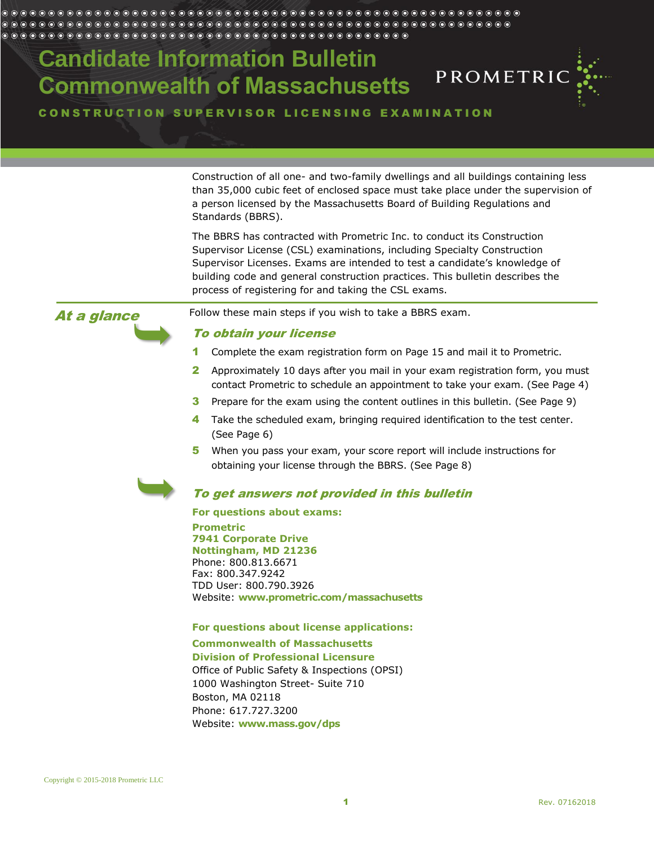# **Candidate Information Bulletin Commonwealth of Massachusetts**



CONSTRUCTION SUPERVISOR LICENSING EXAMINATION

Construction of all one- and two-family dwellings and all buildings containing less than 35,000 cubic feet of enclosed space must take place under the supervision of a person licensed by the Massachusetts Board of Building Regulations and Standards (BBRS).

The BBRS has contracted with Prometric Inc. to conduct its Construction Supervisor License (CSL) examinations, including Specialty Construction Supervisor Licenses. Exams are intended to test a candidate's knowledge of building code and general construction practices. This bulletin describes the process of registering for and taking the CSL exams.

At a glance

Follow these main steps if you wish to take a BBRS exam.

### To obtain your license

- 1 Complete the exam registration form on Page [15](#page-13-0) and mail it to Prometric.
- 2 Approximately 10 days after you mail in your exam registration form, you must contact Prometric to schedule an appointment to take your exam. (See Page [4\)](#page-3-0)
- **3** Prepare for the exam using the content outlines in this bulletin. (See Page [9\)](#page-8-0)
- 4 Take the scheduled exam, bringing required identification to the test center. (See Page [6\)](#page-5-0)
- 5 When you pass your exam, your score report will include instructions for obtaining your license through the BBRS. (See Page [8\)](#page-7-0)



### To get answers not provided in this bulletin

#### **For questions about exams:**

**Prometric 7941 Corporate Drive Nottingham, MD 21236** Phone: 800.813.6671 Fax: 800.347.9242 TDD User: 800.790.3926 Website: **www.prometric.com/massachusetts**

### **For questions about license applications:**

**Commonwealth of Massachusetts**

**Division of Professional Licensure** Office of Public Safety & Inspections (OPSI) 1000 Washington Street- Suite 710 Boston, MA 02118 Phone: 617.727.3200 Website: **www.mass.gov/dps**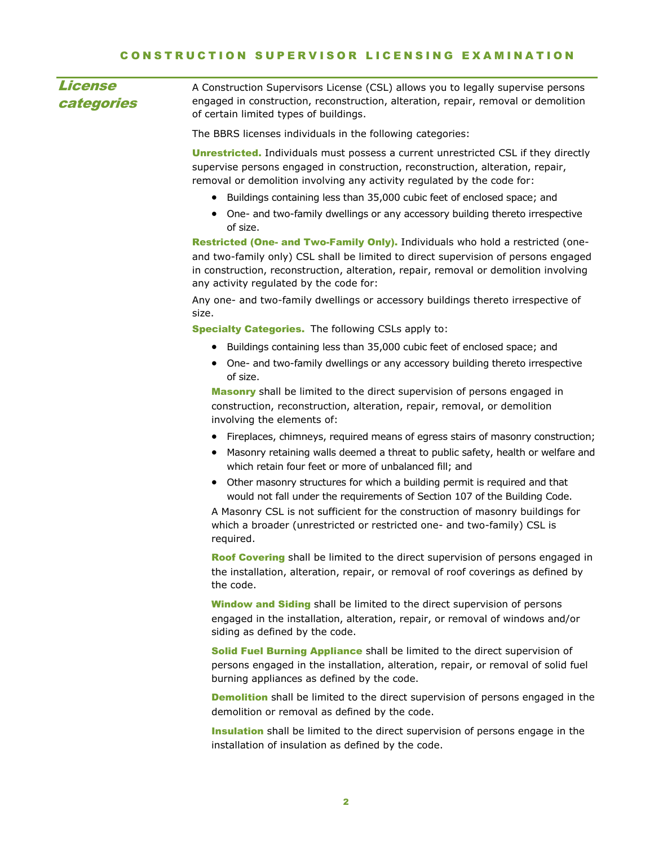<span id="page-1-0"></span>

| License<br>categories | A Construction Supervisors License (CSL) allows you to legally supervise persons<br>engaged in construction, reconstruction, alteration, repair, removal or demolition<br>of certain limited types of buildings. |
|-----------------------|------------------------------------------------------------------------------------------------------------------------------------------------------------------------------------------------------------------|
|                       | The BBRS licenses individuals in the following categories:                                                                                                                                                       |
|                       | Householded Tadjuduale must noongo a suggab ungotubkad CCL if thay digastly                                                                                                                                      |

**Unrestricted.** Individuals must possess a current unrestricted CSL if they directly supervise persons engaged in construction, reconstruction, alteration, repair, removal or demolition involving any activity regulated by the code for:

- Buildings containing less than 35,000 cubic feet of enclosed space; and
- One- and two-family dwellings or any accessory building thereto irrespective of size.

Restricted (One- and Two-Family Only). Individuals who hold a restricted (oneand two-family only) CSL shall be limited to direct supervision of persons engaged in construction, reconstruction, alteration, repair, removal or demolition involving any activity regulated by the code for:

Any one- and two-family dwellings or accessory buildings thereto irrespective of size.

Specialty Categories. The following CSLs apply to:

- Buildings containing less than 35,000 cubic feet of enclosed space; and
- One- and two-family dwellings or any accessory building thereto irrespective of size.

Masonry shall be limited to the direct supervision of persons engaged in construction, reconstruction, alteration, repair, removal, or demolition involving the elements of:

- Fireplaces, chimneys, required means of egress stairs of masonry construction;
- Masonry retaining walls deemed a threat to public safety, health or welfare and which retain four feet or more of unbalanced fill; and
- Other masonry structures for which a building permit is required and that would not fall under the requirements of Section 107 of the Building Code.

A Masonry CSL is not sufficient for the construction of masonry buildings for which a broader (unrestricted or restricted one- and two-family) CSL is required.

Roof Covering shall be limited to the direct supervision of persons engaged in the installation, alteration, repair, or removal of roof coverings as defined by the code.

**Window and Siding** shall be limited to the direct supervision of persons engaged in the installation, alteration, repair, or removal of windows and/or siding as defined by the code.

Solid Fuel Burning Appliance shall be limited to the direct supervision of persons engaged in the installation, alteration, repair, or removal of solid fuel burning appliances as defined by the code.

**Demolition** shall be limited to the direct supervision of persons engaged in the demolition or removal as defined by the code.

**Insulation** shall be limited to the direct supervision of persons engage in the installation of insulation as defined by the code.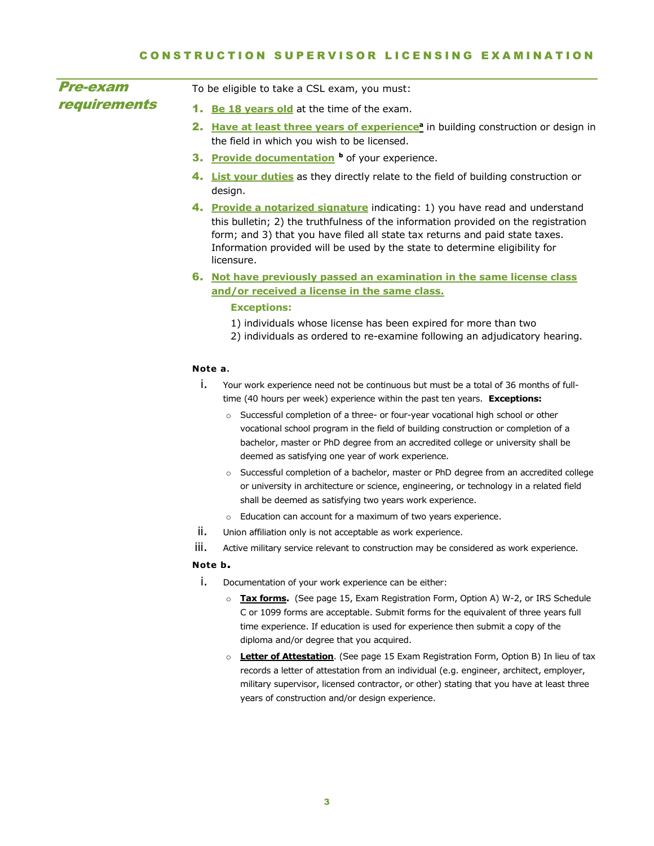| <b>Pre-exam</b>     | To be eligible to take a CSL exam, you must:                                                                                                                                                                                                                                                                                                     |
|---------------------|--------------------------------------------------------------------------------------------------------------------------------------------------------------------------------------------------------------------------------------------------------------------------------------------------------------------------------------------------|
| <b>requirements</b> | Be 18 years old at the time of the exam.<br>1.                                                                                                                                                                                                                                                                                                   |
|                     | Have at least three years of experience <sup>a</sup> in building construction or design in<br>2.                                                                                                                                                                                                                                                 |
|                     | the field in which you wish to be licensed.                                                                                                                                                                                                                                                                                                      |
|                     | 3. Provide documentation b of your experience.                                                                                                                                                                                                                                                                                                   |
|                     | 4. List your duties as they directly relate to the field of building construction or<br>design.                                                                                                                                                                                                                                                  |
|                     | 4. Provide a notarized signature indicating: 1) you have read and understand<br>this bulletin; 2) the truthfulness of the information provided on the registration<br>form; and 3) that you have filed all state tax returns and paid state taxes.<br>Information provided will be used by the state to determine eligibility for<br>licensure.  |
|                     | 6. Not have previously passed an examination in the same license class<br>and/or received a license in the same class.                                                                                                                                                                                                                           |
|                     | <b>Exceptions:</b>                                                                                                                                                                                                                                                                                                                               |
|                     | 1) individuals whose license has been expired for more than two<br>2) individuals as ordered to re-examine following an adjudicatory hearing.                                                                                                                                                                                                    |
|                     | Note a.                                                                                                                                                                                                                                                                                                                                          |
|                     | i.<br>Your work experience need not be continuous but must be a total of 36 months of full-<br>time (40 hours per week) experience within the past ten years. Exceptions:                                                                                                                                                                        |
|                     | Successful completion of a three- or four-year vocational high school or other<br>$\circ$<br>vocational school program in the field of building construction or completion of a<br>bachelor, master or PhD degree from an accredited college or university shall be<br>deemed as satisfying one year of work experience.                         |
|                     | Successful completion of a bachelor, master or PhD degree from an accredited college<br>$\circ$<br>or university in architecture or science, engineering, or technology in a related field<br>shall be deemed as satisfying two years work experience.                                                                                           |
|                     | Education can account for a maximum of two years experience.<br>$\circ$                                                                                                                                                                                                                                                                          |
|                     | ii.<br>Union affiliation only is not acceptable as work experience.                                                                                                                                                                                                                                                                              |
|                     | iii.<br>Active military service relevant to construction may be considered as work experience.                                                                                                                                                                                                                                                   |
|                     | Note b.                                                                                                                                                                                                                                                                                                                                          |
|                     | i.<br>Documentation of your work experience can be either:                                                                                                                                                                                                                                                                                       |
|                     | Tax forms. (See page 15, Exam Registration Form, Option A) W-2, or IRS Schedule<br>$\circ$<br>C or 1099 forms are acceptable. Submit forms for the equivalent of three years full<br>time experience. If education is used for experience then submit a copy of the                                                                              |
|                     | diploma and/or degree that you acquired.                                                                                                                                                                                                                                                                                                         |
|                     | <b>Letter of Attestation.</b> (See page 15 Exam Registration Form, Option B) In lieu of tax<br>$\circ$<br>records a letter of attestation from an individual (e.g. engineer, architect, employer,<br>military supervisor, licensed contractor, or other) stating that you have at least three<br>years of construction and/or design experience. |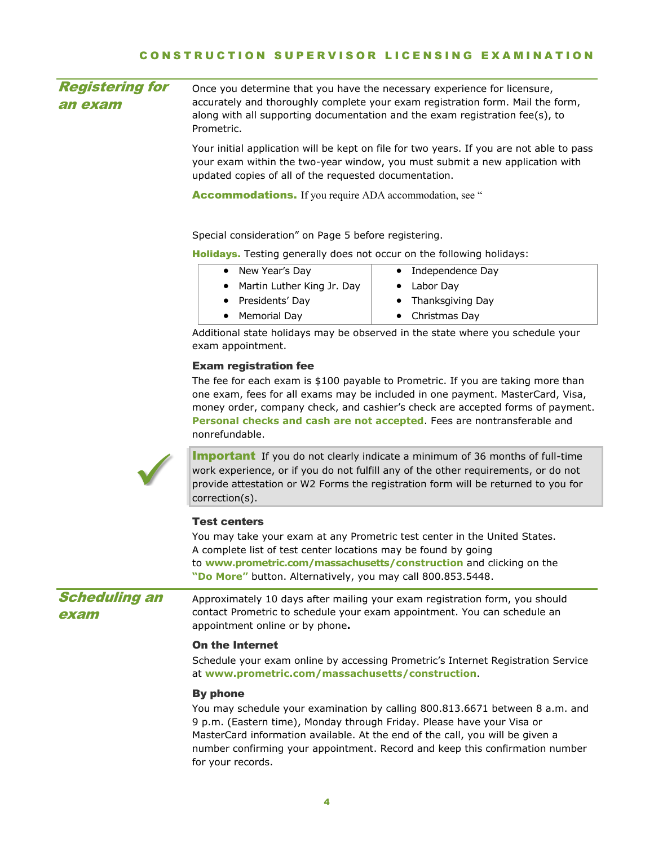<span id="page-3-0"></span>

| <b>Registering for</b><br>an exam | Once you determine that you have the necessary experience for licensure,<br>accurately and thoroughly complete your exam registration form. Mail the form,<br>along with all supporting documentation and the exam registration fee(s), to<br>Prometric.                                                                                          |                                                                                                                                                                                                                                               |  |
|-----------------------------------|---------------------------------------------------------------------------------------------------------------------------------------------------------------------------------------------------------------------------------------------------------------------------------------------------------------------------------------------------|-----------------------------------------------------------------------------------------------------------------------------------------------------------------------------------------------------------------------------------------------|--|
|                                   | Your initial application will be kept on file for two years. If you are not able to pass<br>your exam within the two-year window, you must submit a new application with<br>updated copies of all of the requested documentation.                                                                                                                 |                                                                                                                                                                                                                                               |  |
|                                   | <b>Accommodations.</b> If you require ADA accommodation, see "                                                                                                                                                                                                                                                                                    |                                                                                                                                                                                                                                               |  |
|                                   | Special consideration" on Page 5 before registering.                                                                                                                                                                                                                                                                                              |                                                                                                                                                                                                                                               |  |
|                                   | Holidays. Testing generally does not occur on the following holidays:                                                                                                                                                                                                                                                                             |                                                                                                                                                                                                                                               |  |
|                                   | New Year's Day<br>$\bullet$                                                                                                                                                                                                                                                                                                                       | Independence Day                                                                                                                                                                                                                              |  |
|                                   | Martin Luther King Jr. Day                                                                                                                                                                                                                                                                                                                        | Labor Day                                                                                                                                                                                                                                     |  |
|                                   | Presidents' Day                                                                                                                                                                                                                                                                                                                                   | Thanksgiving Day                                                                                                                                                                                                                              |  |
|                                   | <b>Memorial Day</b>                                                                                                                                                                                                                                                                                                                               | Christmas Day                                                                                                                                                                                                                                 |  |
|                                   | Additional state holidays may be observed in the state where you schedule your<br>exam appointment.                                                                                                                                                                                                                                               |                                                                                                                                                                                                                                               |  |
|                                   | <b>Exam registration fee</b>                                                                                                                                                                                                                                                                                                                      |                                                                                                                                                                                                                                               |  |
|                                   | The fee for each exam is \$100 payable to Prometric. If you are taking more than<br>one exam, fees for all exams may be included in one payment. MasterCard, Visa,<br>money order, company check, and cashier's check are accepted forms of payment.<br>Personal checks and cash are not accepted. Fees are nontransferable and<br>nonrefundable. |                                                                                                                                                                                                                                               |  |
|                                   | <b>Important</b> If you do not clearly indicate a minimum of 36 months of full-time<br>work experience, or if you do not fulfill any of the other requirements, or do not<br>provide attestation or W2 Forms the registration form will be returned to you for<br>correction(s).                                                                  |                                                                                                                                                                                                                                               |  |
|                                   | <b>Test centers</b>                                                                                                                                                                                                                                                                                                                               |                                                                                                                                                                                                                                               |  |
|                                   | You may take your exam at any Prometric test center in the United States.<br>A complete list of test center locations may be found by going<br>to www.prometric.com/massachusetts/construction and clicking on the                                                                                                                                |                                                                                                                                                                                                                                               |  |
|                                   | "Do More" button. Alternatively, you may call 800.853.5448.                                                                                                                                                                                                                                                                                       |                                                                                                                                                                                                                                               |  |
| <b>Scheduling an</b><br>exam      | appointment online or by phone.                                                                                                                                                                                                                                                                                                                   | Approximately 10 days after mailing your exam registration form, you should<br>contact Prometric to schedule your exam appointment. You can schedule an                                                                                       |  |
|                                   | <b>On the Internet</b><br>Schedule your exam online by accessing Prometric's Internet Registration Service<br>at www.prometric.com/massachusetts/construction.                                                                                                                                                                                    |                                                                                                                                                                                                                                               |  |
|                                   | <b>By phone</b><br>9 p.m. (Eastern time), Monday through Friday. Please have your Visa or<br>for your records.                                                                                                                                                                                                                                    | You may schedule your examination by calling 800.813.6671 between 8 a.m. and<br>MasterCard information available. At the end of the call, you will be given a<br>number confirming your appointment. Record and keep this confirmation number |  |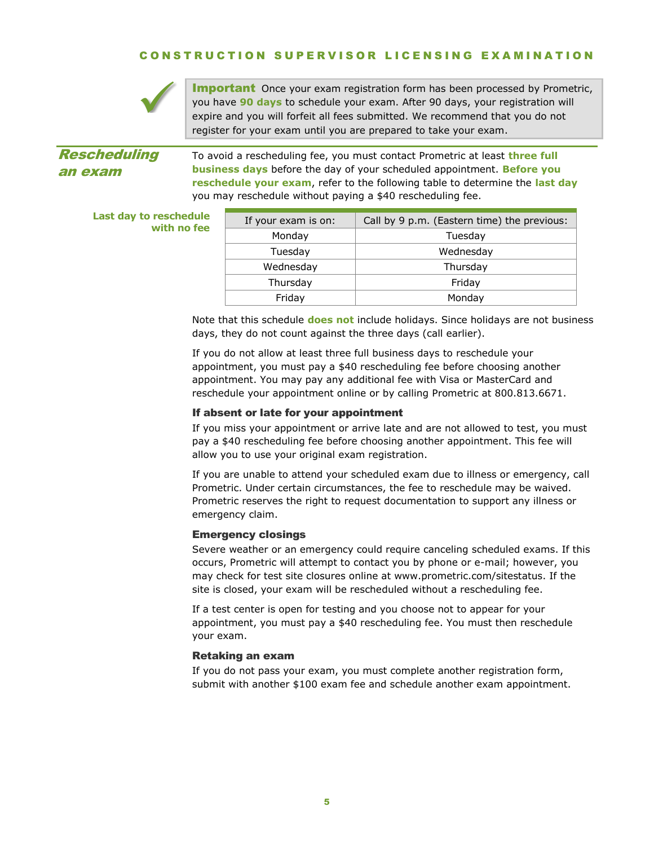

**Important** Once your exam registration form has been processed by Prometric, you have **90 days** to schedule your exam. After 90 days, your registration will expire and you will forfeit all fees submitted. We recommend that you do not register for your exam until you are prepared to take your exam.

# Rescheduling an exam

To avoid a rescheduling fee, you must contact Prometric at least **three full business days** before the day of your scheduled appointment. **Before you reschedule your exam**, refer to the following table to determine the **last day** you may reschedule without paying a \$40 rescheduling fee.

#### **Last day to reschedule with no fee**

| If your exam is on: | Call by 9 p.m. (Eastern time) the previous: |
|---------------------|---------------------------------------------|
| Monday              | Tuesday                                     |
| Tuesday             | Wednesday                                   |
| Wednesday           | Thursday                                    |
| Thursday            | Friday                                      |
| Friday              | Monday                                      |

Note that this schedule **does not** include holidays. Since holidays are not business days, they do not count against the three days (call earlier).

If you do not allow at least three full business days to reschedule your appointment, you must pay a \$40 rescheduling fee before choosing another appointment. You may pay any additional fee with Visa or MasterCard and reschedule your appointment online or by calling Prometric at 800.813.6671.

### If absent or late for your appointment

If you miss your appointment or arrive late and are not allowed to test, you must pay a \$40 rescheduling fee before choosing another appointment. This fee will allow you to use your original exam registration.

If you are unable to attend your scheduled exam due to illness or emergency, call Prometric. Under certain circumstances, the fee to reschedule may be waived. Prometric reserves the right to request documentation to support any illness or emergency claim.

### Emergency closings

Severe weather or an emergency could require canceling scheduled exams. If this occurs, Prometric will attempt to contact you by phone or e-mail; however, you may check for test site closures online at www.prometric.com/sitestatus. If the site is closed, your exam will be rescheduled without a rescheduling fee.

If a test center is open for testing and you choose not to appear for your appointment, you must pay a \$40 rescheduling fee. You must then reschedule your exam.

#### Retaking an exam

<span id="page-4-0"></span>If you do not pass your exam, you must complete another registration form, submit with another \$100 exam fee and schedule another exam appointment.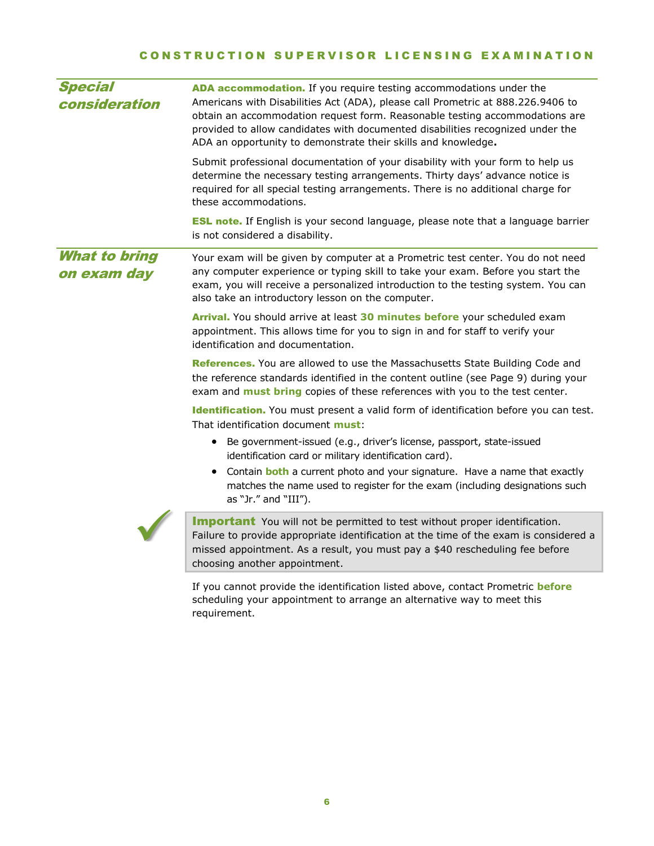<span id="page-5-0"></span>

| <b>Special</b><br>consideration     | ADA accommodation. If you require testing accommodations under the<br>Americans with Disabilities Act (ADA), please call Prometric at 888.226.9406 to<br>obtain an accommodation request form. Reasonable testing accommodations are<br>provided to allow candidates with documented disabilities recognized under the<br>ADA an opportunity to demonstrate their skills and knowledge. |
|-------------------------------------|-----------------------------------------------------------------------------------------------------------------------------------------------------------------------------------------------------------------------------------------------------------------------------------------------------------------------------------------------------------------------------------------|
|                                     | Submit professional documentation of your disability with your form to help us<br>determine the necessary testing arrangements. Thirty days' advance notice is<br>required for all special testing arrangements. There is no additional charge for<br>these accommodations.                                                                                                             |
|                                     | <b>ESL note.</b> If English is your second language, please note that a language barrier<br>is not considered a disability.                                                                                                                                                                                                                                                             |
| <b>What to bring</b><br>on exam day | Your exam will be given by computer at a Prometric test center. You do not need<br>any computer experience or typing skill to take your exam. Before you start the<br>exam, you will receive a personalized introduction to the testing system. You can<br>also take an introductory lesson on the computer.                                                                            |
|                                     | Arrival. You should arrive at least 30 minutes before your scheduled exam<br>appointment. This allows time for you to sign in and for staff to verify your<br>identification and documentation.                                                                                                                                                                                         |
|                                     | References. You are allowed to use the Massachusetts State Building Code and<br>the reference standards identified in the content outline (see Page 9) during your<br>exam and <b>must bring</b> copies of these references with you to the test center.                                                                                                                                |
|                                     | Identification. You must present a valid form of identification before you can test.<br>That identification document <b>must</b> :                                                                                                                                                                                                                                                      |
|                                     | Be government-issued (e.g., driver's license, passport, state-issued<br>$\bullet$<br>identification card or military identification card).                                                                                                                                                                                                                                              |
|                                     | Contain <b>both</b> a current photo and your signature. Have a name that exactly<br>matches the name used to register for the exam (including designations such<br>as "Jr." and "III").                                                                                                                                                                                                 |
|                                     | <b>Important</b> You will not be permitted to test without proper identification.<br>Failure to provide appropriate identification at the time of the exam is considered a<br>missed appointment. As a result, you must pay a \$40 rescheduling fee before<br>choosing another appointment.                                                                                             |
|                                     | If you cannot provide the identification listed above, contact Prometric before<br>scheduling your appointment to arrange an alternative way to meet this<br>requirement.                                                                                                                                                                                                               |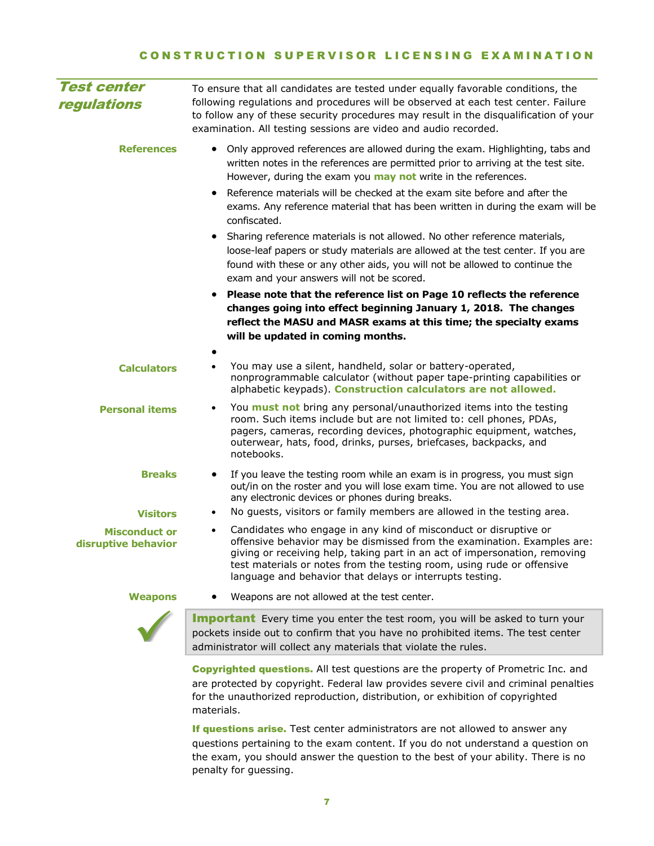| <b>Test center</b><br>regulations           | To ensure that all candidates are tested under equally favorable conditions, the<br>following regulations and procedures will be observed at each test center. Failure<br>to follow any of these security procedures may result in the disqualification of your<br>examination. All testing sessions are video and audio recorded.                                                                                                                                                                                                    |
|---------------------------------------------|---------------------------------------------------------------------------------------------------------------------------------------------------------------------------------------------------------------------------------------------------------------------------------------------------------------------------------------------------------------------------------------------------------------------------------------------------------------------------------------------------------------------------------------|
| <b>References</b>                           | Only approved references are allowed during the exam. Highlighting, tabs and<br>$\bullet$<br>written notes in the references are permitted prior to arriving at the test site.<br>However, during the exam you may not write in the references.<br>Reference materials will be checked at the exam site before and after the<br>$\bullet$<br>exams. Any reference material that has been written in during the exam will be<br>confiscated.<br>Sharing reference materials is not allowed. No other reference materials,<br>$\bullet$ |
|                                             | loose-leaf papers or study materials are allowed at the test center. If you are<br>found with these or any other aids, you will not be allowed to continue the<br>exam and your answers will not be scored.                                                                                                                                                                                                                                                                                                                           |
|                                             | Please note that the reference list on Page 10 reflects the reference<br>changes going into effect beginning January 1, 2018. The changes<br>reflect the MASU and MASR exams at this time; the specialty exams<br>will be updated in coming months.                                                                                                                                                                                                                                                                                   |
| <b>Calculators</b>                          | You may use a silent, handheld, solar or battery-operated,<br>$\bullet$<br>nonprogrammable calculator (without paper tape-printing capabilities or<br>alphabetic keypads). Construction calculators are not allowed.                                                                                                                                                                                                                                                                                                                  |
| <b>Personal items</b>                       | You <b>must not</b> bring any personal/unauthorized items into the testing<br>٠<br>room. Such items include but are not limited to: cell phones, PDAs,<br>pagers, cameras, recording devices, photographic equipment, watches,<br>outerwear, hats, food, drinks, purses, briefcases, backpacks, and<br>notebooks.                                                                                                                                                                                                                     |
| <b>Breaks</b><br><b>Visitors</b>            | If you leave the testing room while an exam is in progress, you must sign<br>out/in on the roster and you will lose exam time. You are not allowed to use<br>any electronic devices or phones during breaks.<br>No guests, visitors or family members are allowed in the testing area.<br>$\bullet$                                                                                                                                                                                                                                   |
| <b>Misconduct or</b><br>disruptive behavior | Candidates who engage in any kind of misconduct or disruptive or<br>$\bullet$<br>offensive behavior may be dismissed from the examination. Examples are:<br>giving or receiving help, taking part in an act of impersonation, removing<br>test materials or notes from the testing room, using rude or offensive<br>language and behavior that delays or interrupts testing.                                                                                                                                                          |
| <b>Weapons</b>                              | Weapons are not allowed at the test center.                                                                                                                                                                                                                                                                                                                                                                                                                                                                                           |
|                                             | <b>Important</b> Every time you enter the test room, you will be asked to turn your<br>pockets inside out to confirm that you have no prohibited items. The test center<br>administrator will collect any materials that violate the rules.                                                                                                                                                                                                                                                                                           |
|                                             | <b>Copyrighted questions.</b> All test questions are the property of Prometric Inc. and<br>are protected by copyright. Federal law provides severe civil and criminal penalties                                                                                                                                                                                                                                                                                                                                                       |

If questions arise. Test center administrators are not allowed to answer any questions pertaining to the exam content. If you do not understand a question on the exam, you should answer the question to the best of your ability. There is no penalty for guessing.

for the unauthorized reproduction, distribution, or exhibition of copyrighted

materials.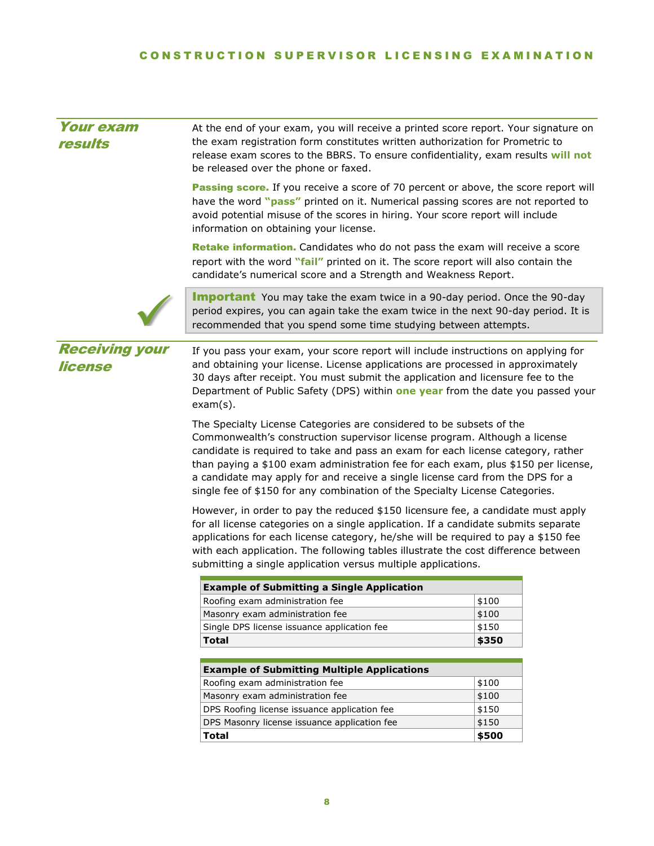<span id="page-7-0"></span>

| <b>Your exam</b><br>results      | At the end of your exam, you will receive a printed score report. Your signature on<br>the exam registration form constitutes written authorization for Prometric to<br>release exam scores to the BBRS. To ensure confidentiality, exam results will not<br>be released over the phone or faxed.                                                                                                                                                                                              |                |  |
|----------------------------------|------------------------------------------------------------------------------------------------------------------------------------------------------------------------------------------------------------------------------------------------------------------------------------------------------------------------------------------------------------------------------------------------------------------------------------------------------------------------------------------------|----------------|--|
|                                  | Passing score. If you receive a score of 70 percent or above, the score report will<br>have the word "pass" printed on it. Numerical passing scores are not reported to<br>avoid potential misuse of the scores in hiring. Your score report will include<br>information on obtaining your license.                                                                                                                                                                                            |                |  |
|                                  | Retake information. Candidates who do not pass the exam will receive a score<br>report with the word "fail" printed on it. The score report will also contain the<br>candidate's numerical score and a Strength and Weakness Report.                                                                                                                                                                                                                                                           |                |  |
|                                  | <b>Important</b> You may take the exam twice in a 90-day period. Once the 90-day<br>period expires, you can again take the exam twice in the next 90-day period. It is<br>recommended that you spend some time studying between attempts.                                                                                                                                                                                                                                                      |                |  |
| <b>Receiving your</b><br>license | If you pass your exam, your score report will include instructions on applying for<br>and obtaining your license. License applications are processed in approximately<br>30 days after receipt. You must submit the application and licensure fee to the<br>Department of Public Safety (DPS) within one year from the date you passed your<br>$exam(s)$ .                                                                                                                                     |                |  |
|                                  | The Specialty License Categories are considered to be subsets of the<br>Commonwealth's construction supervisor license program. Although a license<br>candidate is required to take and pass an exam for each license category, rather<br>than paying a \$100 exam administration fee for each exam, plus \$150 per license,<br>a candidate may apply for and receive a single license card from the DPS for a<br>single fee of \$150 for any combination of the Specialty License Categories. |                |  |
|                                  | However, in order to pay the reduced \$150 licensure fee, a candidate must apply<br>for all license categories on a single application. If a candidate submits separate<br>applications for each license category, he/she will be required to pay a \$150 fee<br>with each application. The following tables illustrate the cost difference between<br>submitting a single application versus multiple applications.                                                                           |                |  |
|                                  | <b>Example of Submitting a Single Application</b>                                                                                                                                                                                                                                                                                                                                                                                                                                              |                |  |
|                                  | Roofing exam administration fee                                                                                                                                                                                                                                                                                                                                                                                                                                                                | \$100          |  |
|                                  | Masonry exam administration fee                                                                                                                                                                                                                                                                                                                                                                                                                                                                | \$100          |  |
|                                  |                                                                                                                                                                                                                                                                                                                                                                                                                                                                                                |                |  |
|                                  | Single DPS license issuance application fee                                                                                                                                                                                                                                                                                                                                                                                                                                                    | \$150          |  |
|                                  | <b>Total</b>                                                                                                                                                                                                                                                                                                                                                                                                                                                                                   | \$350          |  |
|                                  |                                                                                                                                                                                                                                                                                                                                                                                                                                                                                                |                |  |
|                                  | <b>Example of Submitting Multiple Applications</b>                                                                                                                                                                                                                                                                                                                                                                                                                                             |                |  |
|                                  | Roofing exam administration fee<br>Masonry exam administration fee                                                                                                                                                                                                                                                                                                                                                                                                                             | \$100<br>\$100 |  |
|                                  | DPS Roofing license issuance application fee                                                                                                                                                                                                                                                                                                                                                                                                                                                   | \$150          |  |
|                                  | DPS Masonry license issuance application fee                                                                                                                                                                                                                                                                                                                                                                                                                                                   | \$150          |  |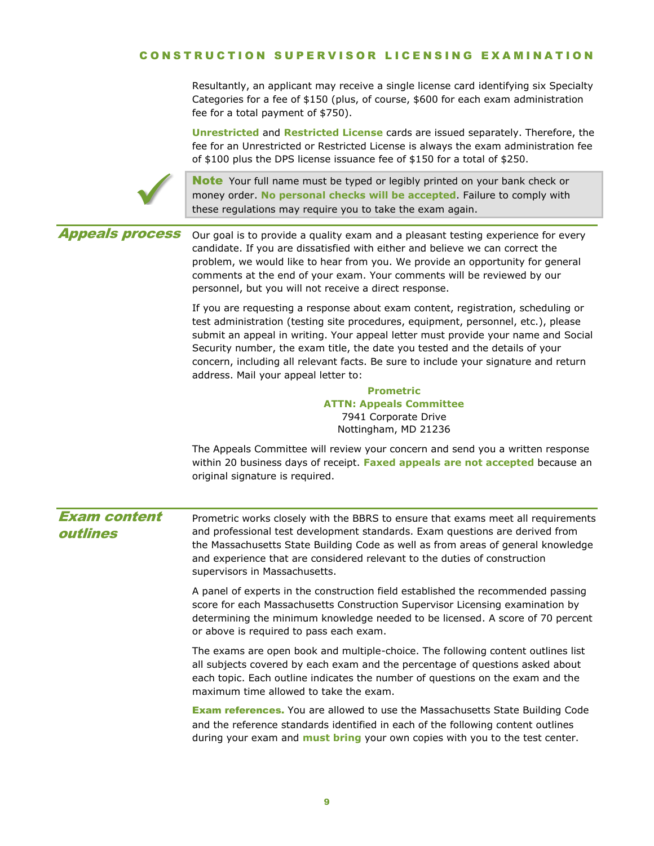### C O N S T R U C T I O N S U P E R V I S O R L I C E N S I N G E X A M I N A T I O N

Resultantly, an applicant may receive a single license card identifying six Specialty Categories for a fee of \$150 (plus, of course, \$600 for each exam administration fee for a total payment of \$750).

**Unrestricted** and **Restricted License** cards are issued separately. Therefore, the fee for an Unrestricted or Restricted License is always the exam administration fee of \$100 plus the DPS license issuance fee of \$150 for a total of \$250.



Note Your full name must be typed or legibly printed on your bank check or money order. **No personal checks will be accepted**. Failure to comply with these regulations may require you to take the exam again.

### Appeals process

Our goal is to provide a quality exam and a pleasant testing experience for every candidate. If you are dissatisfied with either and believe we can correct the problem, we would like to hear from you. We provide an opportunity for general comments at the end of your exam. Your comments will be reviewed by our personnel, but you will not receive a direct response.

If you are requesting a response about exam content, registration, scheduling or test administration (testing site procedures, equipment, personnel, etc.), please submit an appeal in writing. Your appeal letter must provide your name and Social Security number, the exam title, the date you tested and the details of your concern, including all relevant facts. Be sure to include your signature and return address. Mail your appeal letter to:

### **Prometric ATTN: Appeals Committee** 7941 Corporate Drive Nottingham, MD 21236

The Appeals Committee will review your concern and send you a written response within 20 business days of receipt. **Faxed appeals are not accepted** because an original signature is required.

### <span id="page-8-0"></span>Exam content outlines

Prometric works closely with the BBRS to ensure that exams meet all requirements and professional test development standards. Exam questions are derived from the Massachusetts State Building Code as well as from areas of general knowledge and experience that are considered relevant to the duties of construction supervisors in Massachusetts.

A panel of experts in the construction field established the recommended passing score for each Massachusetts Construction Supervisor Licensing examination by determining the minimum knowledge needed to be licensed. A score of 70 percent or above is required to pass each exam.

The exams are open book and multiple-choice. The following content outlines list all subjects covered by each exam and the percentage of questions asked about each topic. Each outline indicates the number of questions on the exam and the maximum time allowed to take the exam.

Exam references. You are allowed to use the Massachusetts State Building Code and the reference standards identified in each of the following content outlines during your exam and **must bring** your own copies with you to the test center.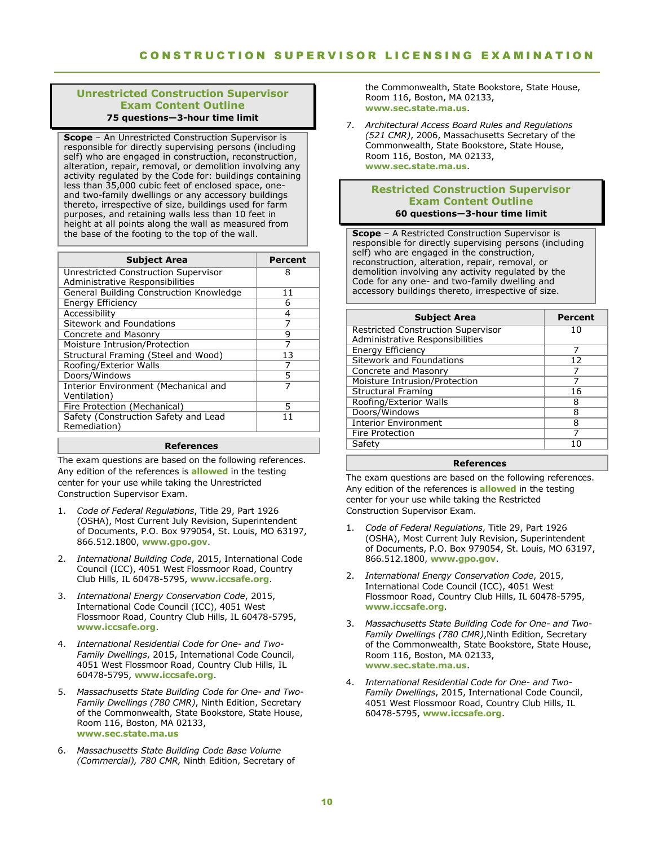#### **Unrestricted Construction Supervisor Exam Content Outline 75 questions—3-hour time limit**

**Scope** – An Unrestricted Construction Supervisor is responsible for directly supervising persons (including self) who are engaged in construction, reconstruction, alteration, repair, removal, or demolition involving any activity regulated by the Code for: buildings containing less than 35,000 cubic feet of enclosed space, oneand two-family dwellings or any accessory buildings thereto, irrespective of size, buildings used for farm purposes, and retaining walls less than 10 feet in height at all points along the wall as measured from the base of the footing to the top of the wall.

| <b>Subject Area</b>                                                     | Percent |
|-------------------------------------------------------------------------|---------|
| Unrestricted Construction Supervisor<br>Administrative Responsibilities | 8       |
| General Building Construction Knowledge                                 | 11      |
| <b>Energy Efficiency</b>                                                | 6       |
| Accessibility                                                           | 4       |
| Sitework and Foundations                                                | 7       |
| Concrete and Masonry                                                    | q       |
| Moisture Intrusion/Protection                                           |         |
| Structural Framing (Steel and Wood)                                     | 13      |
| Roofing/Exterior Walls                                                  |         |
| Doors/Windows                                                           | 5       |
| Interior Environment (Mechanical and<br>Ventilation)                    |         |
| Fire Protection (Mechanical)                                            | 5       |
| Safety (Construction Safety and Lead<br>Remediation)                    | 11      |
|                                                                         |         |

#### **References**

The exam questions are based on the following references. Any edition of the references is **allowed** in the testing center for your use while taking the Unrestricted Construction Supervisor Exam.

- 1. *Code of Federal Regulations*, Title 29, Part 1926 (OSHA), Most Current July Revision, Superintendent of Documents, P.O. Box 979054, St. Louis, MO 63197, 866.512.1800, **www.gpo.gov**.
- 2. *International Building Code*, 2015, International Code Council (ICC), 4051 West Flossmoor Road, Country Club Hills, IL 60478-5795, **www.iccsafe.org**.
- 3. *International Energy Conservation Code*, 2015, International Code Council (ICC), 4051 West Flossmoor Road, Country Club Hills, IL 60478-5795, **www.iccsafe.org**.
- 4. *International Residential Code for One- and Two-Family Dwellings*, 2015, International Code Council, 4051 West Flossmoor Road, Country Club Hills, IL 60478-5795, **www.iccsafe.org**.
- 5. *Massachusetts State Building Code for One- and Two-Family Dwellings (780 CMR)*, Ninth Edition, Secretary of the Commonwealth, State Bookstore, State House, Room 116, Boston, MA 02133, **[www.sec.state.ma.us](http://www.sec.state.ma.us/)**
- 6. *Massachusetts State Building Code Base Volume (Commercial), 780 CMR,* Ninth Edition, Secretary of

the Commonwealth, State Bookstore, State House, Room 116, Boston, MA 02133, **www.sec.state.ma.us**.

7. *Architectural Access Board Rules and Regulations (521 CMR)*, 2006, Massachusetts Secretary of the Commonwealth, State Bookstore, State House, Room 116, Boston, MA 02133, **www.sec.state.ma.us**.

### **Restricted Construction Supervisor Exam Content Outline 60 questions—3-hour time limit**

**Scope** – A Restricted Construction Supervisor is responsible for directly supervising persons (including self) who are engaged in the construction, reconstruction, alteration, repair, removal, or demolition involving any activity regulated by the Code for any one- and two-family dwelling and accessory buildings thereto, irrespective of size.

| <b>Subject Area</b>                       | Percent |
|-------------------------------------------|---------|
| <b>Restricted Construction Supervisor</b> | 10      |
| Administrative Responsibilities           |         |
| <b>Energy Efficiency</b>                  | 7       |
| Sitework and Foundations                  | 12      |
| Concrete and Masonry                      |         |
| Moisture Intrusion/Protection             |         |
| <b>Structural Framing</b>                 | 16      |
| Roofing/Exterior Walls                    | 8       |
| Doors/Windows                             | 8       |
| <b>Interior Environment</b>               | 8       |
| Fire Protection                           |         |
| Safety                                    | 1 ດ     |
|                                           |         |

#### **References**

The exam questions are based on the following references. Any edition of the references is **allowed** in the testing center for your use while taking the Restricted Construction Supervisor Exam.

- 1. *Code of Federal Regulations*, Title 29, Part 1926 (OSHA), Most Current July Revision, Superintendent of Documents, P.O. Box 979054, St. Louis, MO 63197, 866.512.1800, **www.gpo.gov**.
- 2. *International Energy Conservation Code*, 2015, International Code Council (ICC), 4051 West Flossmoor Road, Country Club Hills, IL 60478-5795, **www.iccsafe.org**.
- 3. *Massachusetts State Building Code for One- and Two-*Family Dwellings (780 CMR), Ninth Edition, Secretary of the Commonwealth, State Bookstore, State House, Room 116, Boston, MA 02133, **www.sec.state.ma.us**.
- 4. *International Residential Code for One- and Two-Family Dwellings*, 2015, International Code Council, 4051 West Flossmoor Road, Country Club Hills, IL 60478-5795, **[www.iccsafe.org](http://www.iccsafe.org/)**.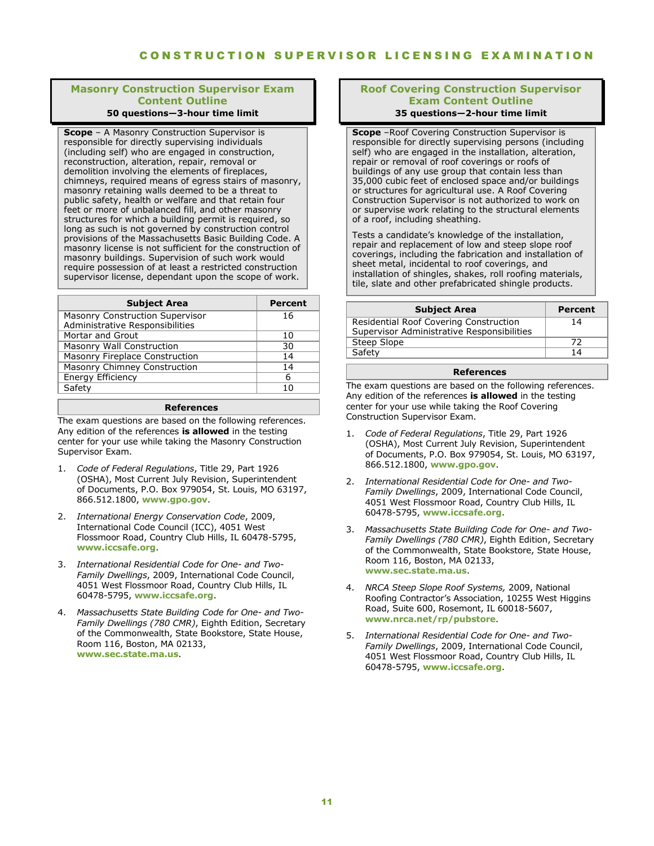### **Masonry Construction Supervisor Exam Content Outline**

### **50 questions—3-hour time limit**

**Scope** – A Masonry Construction Supervisor is responsible for directly supervising individuals (including self) who are engaged in construction, reconstruction, alteration, repair, removal or demolition involving the elements of fireplaces, chimneys, required means of egress stairs of masonry, masonry retaining walls deemed to be a threat to public safety, health or welfare and that retain four feet or more of unbalanced fill, and other masonry structures for which a building permit is required, so long as such is not governed by construction control provisions of the Massachusetts Basic Building Code. A masonry license is not sufficient for the construction of masonry buildings. Supervision of such work would require possession of at least a restricted construction supervisor license, dependant upon the scope of work.

| <b>Subject Area</b>                                                       | Percent |
|---------------------------------------------------------------------------|---------|
| <b>Masonry Construction Supervisor</b><br>Administrative Responsibilities | 16      |
| Mortar and Grout                                                          | 10      |
| Masonry Wall Construction                                                 | 30      |
| Masonry Fireplace Construction                                            | 14      |
| Masonry Chimney Construction                                              | 14      |
| <b>Energy Efficiency</b>                                                  | 6       |
| Safety                                                                    | 10      |

#### **References**

The exam questions are based on the following references. Any edition of the references **is allowed** in the testing center for your use while taking the Masonry Construction Supervisor Exam.

- 1. *Code of Federal Regulations*, Title 29, Part 1926 (OSHA), Most Current July Revision, Superintendent of Documents, P.O. Box 979054, St. Louis, MO 63197, 866.512.1800, **www.gpo.gov**.
- 2. *International Energy Conservation Code*, 2009, International Code Council (ICC), 4051 West Flossmoor Road, Country Club Hills, IL 60478-5795, **www.iccsafe.org**.
- 3. *International Residential Code for One- and Two-Family Dwellings*, 2009, International Code Council, 4051 West Flossmoor Road, Country Club Hills, IL 60478-5795, **www.iccsafe.org**.
- 4. *Massachusetts State Building Code for One- and Two-Family Dwellings (780 CMR)*, Eighth Edition, Secretary of the Commonwealth, State Bookstore, State House, Room 116, Boston, MA 02133, **[www.sec.state.ma.us](http://www.sec.state.ma.us/)**.

#### **Roof Covering Construction Supervisor Exam Content Outline 35 questions—2-hour time limit**

**Scope** –Roof Covering Construction Supervisor is responsible for directly supervising persons (including self) who are engaged in the installation, alteration, repair or removal of roof coverings or roofs of buildings of any use group that contain less than 35,000 cubic feet of enclosed space and/or buildings or structures for agricultural use. A Roof Covering Construction Supervisor is not authorized to work on or supervise work relating to the structural elements of a roof, including sheathing.

Tests a candidate's knowledge of the installation, repair and replacement of low and steep slope roof coverings, including the fabrication and installation of sheet metal, incidental to roof coverings, and installation of shingles, shakes, roll roofing materials, tile, slate and other prefabricated shingle products.

| <b>Subject Area</b>                                                                  | Percent |
|--------------------------------------------------------------------------------------|---------|
| Residential Roof Covering Construction<br>Supervisor Administrative Responsibilities | 14      |
| Steep Slope                                                                          | 72      |
| Safety                                                                               | 14      |

#### **References**

The exam questions are based on the following references. Any edition of the references **is allowed** in the testing center for your use while taking the Roof Covering Construction Supervisor Exam.

- 1. *Code of Federal Regulations*, Title 29, Part 1926 (OSHA), Most Current July Revision, Superintendent of Documents, P.O. Box 979054, St. Louis, MO 63197, 866.512.1800, **www.gpo.gov**.
- 2. *International Residential Code for One- and Two-Family Dwellings*, 2009, International Code Council, 4051 West Flossmoor Road, Country Club Hills, IL 60478-5795, **www.iccsafe.org**.
- 3. *Massachusetts State Building Code for One- and Two-Family Dwellings (780 CMR)*, Eighth Edition, Secretary of the Commonwealth, State Bookstore, State House, Room 116, Boston, MA 02133, **www.sec.state.ma.us**.
- 4. *NRCA Steep Slope Roof Systems,* 2009, National Roofing Contractor's Association, 10255 West Higgins Road, Suite 600, Rosemont, IL 60018-5607, **www.nrca.net/rp/pubstore**.
- 5. *International Residential Code for One- and Two-Family Dwellings*, 2009, International Code Council, 4051 West Flossmoor Road, Country Club Hills, IL 60478-5795, **[www.iccsafe.org](http://www.iccsafe.org/)**.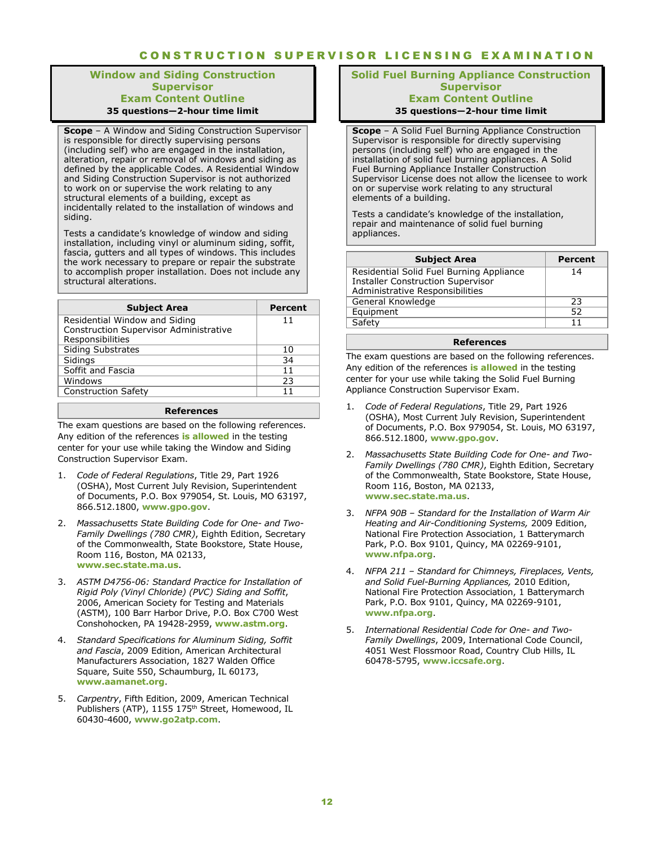### **Window and Siding Construction Supervisor Exam Content Outline 35 questions—2-hour time limit**

**Scope** – A Window and Siding Construction Supervisor is responsible for directly supervising persons (including self) who are engaged in the installation, alteration, repair or removal of windows and siding as defined by the applicable Codes. A Residential Window and Siding Construction Supervisor is not authorized to work on or supervise the work relating to any structural elements of a building, except as incidentally related to the installation of windows and siding.

Tests a candidate's knowledge of window and siding installation, including vinyl or aluminum siding, soffit, fascia, gutters and all types of windows. This includes the work necessary to prepare or repair the substrate to accomplish proper installation. Does not include any structural alterations.

| <b>Subject Area</b>                           | Percent |
|-----------------------------------------------|---------|
| Residential Window and Siding                 | 11      |
| <b>Construction Supervisor Administrative</b> |         |
| Responsibilities                              |         |
| <b>Siding Substrates</b>                      | 10      |
| Sidings                                       | 34      |
| Soffit and Fascia                             | 11      |
| Windows                                       | 23      |
| <b>Construction Safety</b>                    | 11      |
|                                               |         |

#### **References**

The exam questions are based on the following references. Any edition of the references **is allowed** in the testing center for your use while taking the Window and Siding Construction Supervisor Exam.

- 1. *Code of Federal Regulations*, Title 29, Part 1926 (OSHA), Most Current July Revision, Superintendent of Documents, P.O. Box 979054, St. Louis, MO 63197, 866.512.1800, **www.gpo.gov**.
- 2. *Massachusetts State Building Code for One- and Two-Family Dwellings (780 CMR)*, Eighth Edition, Secretary of the Commonwealth, State Bookstore, State House, Room 116, Boston, MA 02133, **[www.sec.state.ma.us](http://www.sec.state.ma.us/)**.
- 3. *ASTM D4756-06: Standard Practice for Installation of Rigid Poly (Vinyl Chloride) (PVC) Siding and Soffit*, 2006, American Society for Testing and Materials (ASTM), 100 Barr Harbor Drive, P.O. Box C700 West Conshohocken, PA 19428-2959, **[www.astm.org](http://www.astm.org/)**.
- 4. *Standard Specifications for Aluminum Siding, Soffit and Fascia*, 2009 Edition, American Architectural Manufacturers Association, 1827 Walden Office Square, Suite 550, Schaumburg, IL 60173, **[www.aamanet.org](http://www.aamanet.org/)**.
- 5. *Carpentry*, Fifth Edition, 2009, American Technical Publishers (ATP), 1155 175<sup>th</sup> Street, Homewood, IL 60430-4600, **www.go2atp.com**.

#### **Solid Fuel Burning Appliance Construction Supervisor Exam Content Outline 35 questions—2-hour time limit**

**Scope** – A Solid Fuel Burning Appliance Construction Supervisor is responsible for directly supervising persons (including self) who are engaged in the installation of solid fuel burning appliances. A Solid Fuel Burning Appliance Installer Construction Supervisor License does not allow the licensee to work on or supervise work relating to any structural elements of a building.

Tests a candidate's knowledge of the installation, repair and maintenance of solid fuel burning appliances.

| <b>Subject Area</b>                                                                                                     | Percent |
|-------------------------------------------------------------------------------------------------------------------------|---------|
| Residential Solid Fuel Burning Appliance<br><b>Installer Construction Supervisor</b><br>Administrative Responsibilities | 14      |
| General Knowledge                                                                                                       | 23      |
| Equipment                                                                                                               | 52      |
| Safety                                                                                                                  | 11      |

#### **References**

The exam questions are based on the following references. Any edition of the references **is allowed** in the testing center for your use while taking the Solid Fuel Burning Appliance Construction Supervisor Exam.

- 1. *Code of Federal Regulations*, Title 29, Part 1926 (OSHA), Most Current July Revision, Superintendent of Documents, P.O. Box 979054, St. Louis, MO 63197, 866.512.1800, **www.gpo.gov**.
- 2. *Massachusetts State Building Code for One- and Two-Family Dwellings (780 CMR)*, Eighth Edition, Secretary of the Commonwealth, State Bookstore, State House, Room 116, Boston, MA 02133, **www.sec.state.ma.us**.
- 3. *NFPA 90B – Standard for the Installation of Warm Air Heating and Air-Conditioning Systems,* 2009 Edition, National Fire Protection Association, 1 Batterymarch Park, P.O. Box 9101, Quincy, MA 02269-9101, **www.nfpa.org**.
- 4. *NFPA 211 – Standard for Chimneys, Fireplaces, Vents, and Solid Fuel-Burning Appliances,* 2010 Edition, National Fire Protection Association, 1 Batterymarch Park, P.O. Box 9101, Quincy, MA 02269-9101, **www.nfpa.org**.
- 5. *International Residential Code for One- and Two-Family Dwellings*, 2009, International Code Council, 4051 West Flossmoor Road, Country Club Hills, IL 60478-5795, **www.iccsafe.org**.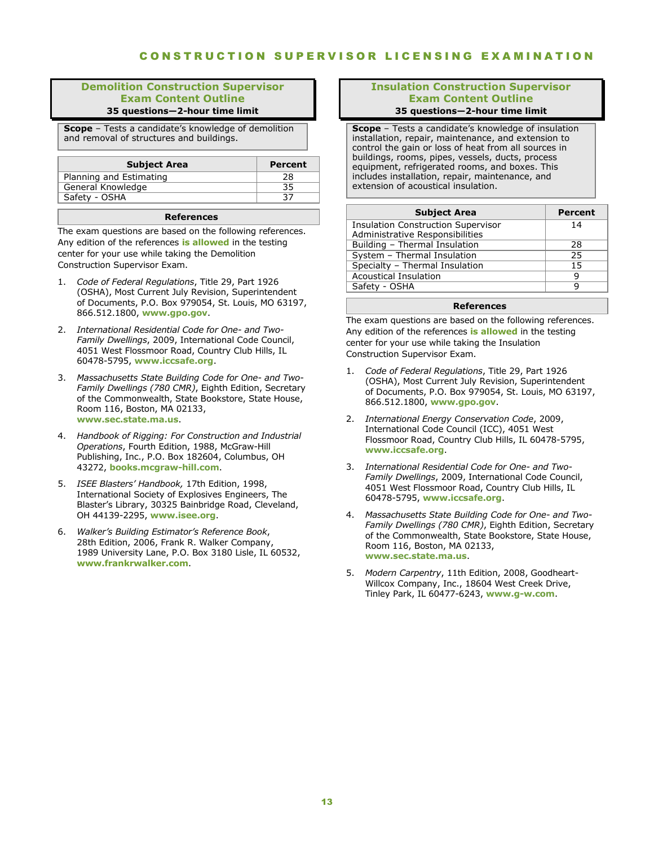#### **Demolition Construction Supervisor Exam Content Outline 35 questions—2-hour time limit**

**Scope** – Tests a candidate's knowledge of demolition and removal of structures and buildings.

| <b>Subject Area</b>     | Percent |
|-------------------------|---------|
| Planning and Estimating | 28      |
| General Knowledge       |         |
| Safety - OSHA           |         |
|                         |         |

#### **References**

The exam questions are based on the following references. Any edition of the references **is allowed** in the testing center for your use while taking the Demolition Construction Supervisor Exam.

- 1. *Code of Federal Regulations*, Title 29, Part 1926 (OSHA), Most Current July Revision, Superintendent of Documents, P.O. Box 979054, St. Louis, MO 63197, 866.512.1800, **www.gpo.gov**.
- 2. *International Residential Code for One- and Two-Family Dwellings*, 2009, International Code Council, 4051 West Flossmoor Road, Country Club Hills, IL 60478-5795, **www.iccsafe.org**.
- 3. *Massachusetts State Building Code for One- and Two-Family Dwellings (780 CMR)*, Eighth Edition, Secretary of the Commonwealth, State Bookstore, State House, Room 116, Boston, MA 02133, **www.sec.state.ma.us**.
- 4. *Handbook of Rigging: For Construction and Industrial Operations*, Fourth Edition, 1988, McGraw-Hill Publishing, Inc., P.O. Box 182604, Columbus, OH 43272, **books.mcgraw-hill.com**.
- 5. *ISEE Blasters' Handbook,* 17th Edition, 1998, International Society of Explosives Engineers, The Blaster's Library, 30325 Bainbridge Road, Cleveland, OH 44139-2295, **www.isee.org**.
- 6. *Walker's Building Estimator's Reference Book*, 28th Edition, 2006, Frank R. Walker Company, 1989 University Lane, P.O. Box 3180 Lisle, IL 60532, **[www.frankrwalker.com](http://www.frankrwalker.com/)**.

#### **Insulation Construction Supervisor Exam Content Outline 35 questions—2-hour time limit**

**Scope** – Tests a candidate's knowledge of insulation installation, repair, maintenance, and extension to control the gain or loss of heat from all sources in buildings, rooms, pipes, vessels, ducts, process equipment, refrigerated rooms, and boxes. This includes installation, repair, maintenance, and extension of acoustical insulation.

| <b>Subject Area</b>                                                          | Percent |
|------------------------------------------------------------------------------|---------|
| <b>Insulation Construction Supervisor</b><br>Administrative Responsibilities | 14      |
| Building - Thermal Insulation                                                | 28      |
| System - Thermal Insulation                                                  | 25      |
| Specialty - Thermal Insulation                                               | 15      |
| <b>Acoustical Insulation</b>                                                 | q       |
| Safety - OSHA                                                                |         |

#### **References**

The exam questions are based on the following references. Any edition of the references **is allowed** in the testing center for your use while taking the Insulation Construction Supervisor Exam.

- 1. *Code of Federal Regulations*, Title 29, Part 1926 (OSHA), Most Current July Revision, Superintendent of Documents, P.O. Box 979054, St. Louis, MO 63197, 866.512.1800, **www.gpo.gov**.
- 2. *International Energy Conservation Code*, 2009, International Code Council (ICC), 4051 West Flossmoor Road, Country Club Hills, IL 60478-5795, **www.iccsafe.org**.
- 3. *International Residential Code for One- and Two-Family Dwellings*, 2009, International Code Council, 4051 West Flossmoor Road, Country Club Hills, IL 60478-5795, **www.iccsafe.org**.
- 4. *Massachusetts State Building Code for One- and Two-Family Dwellings (780 CMR)*, Eighth Edition, Secretary of the Commonwealth, State Bookstore, State House, Room 116, Boston, MA 02133, **www.sec.state.ma.us**.
- 5. *Modern Carpentry*, 11th Edition, 2008, Goodheart-Willcox Company, Inc., 18604 West Creek Drive, Tinley Park, IL 60477-6243, **www.g-w.com**.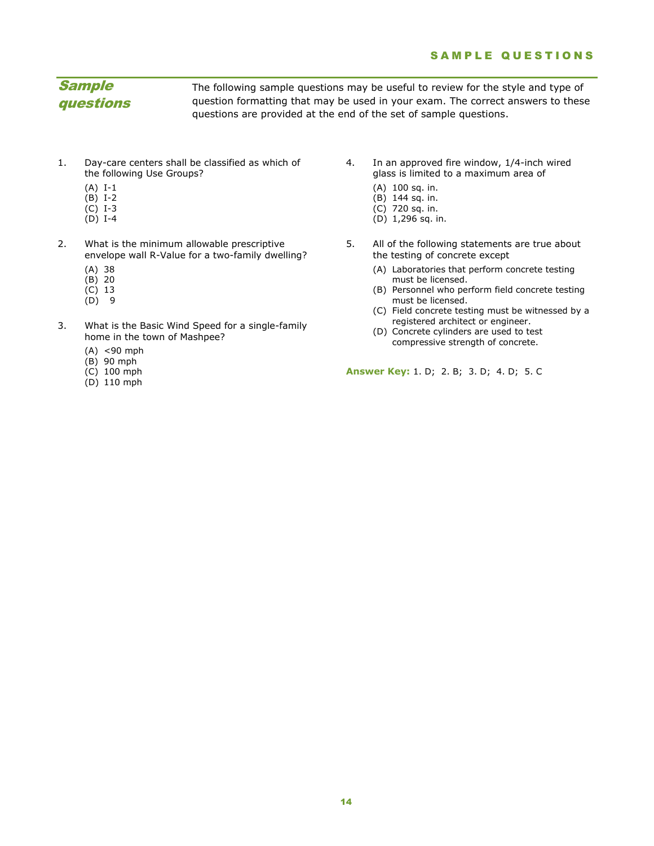### SAMPLE QUESTIONS

# Sample questions

The following sample questions may be useful to review for the style and type of question formatting that may be used in your exam. The correct answers to these questions are provided at the end of the set of sample questions.

- 1. Day-care centers shall be classified as which of the following Use Groups?
	- (A) I-1
	- $(B)$  I-2
	- (C) I-3
	- $(D)$  I-4
- 2. What is the minimum allowable prescriptive envelope wall R-Value for a two-family dwelling?
	- (A) 38
	- (B) 20
	- (C) 13
	- (D) 9
- 3. What is the Basic Wind Speed for a single-family home in the town of Mashpee?
	- (A) <90 mph
	- (B) 90 mph
	- (C) 100 mph
	- (D) 110 mph
- 4. In an approved fire window, 1/4-inch wired glass is limited to a maximum area of
	- (A) 100 sq. in.
	- (B) 144 sq. in.
	- (C) 720 sq. in.
	- (D) 1,296 sq. in.
- 5. All of the following statements are true about the testing of concrete except
	- (A) Laboratories that perform concrete testing must be licensed.
	- (B) Personnel who perform field concrete testing must be licensed.
	- (C) Field concrete testing must be witnessed by a registered architect or engineer.
	- (D) Concrete cylinders are used to test compressive strength of concrete.

<span id="page-13-0"></span>**Answer Key:** 1. D; 2. B; 3. D; 4. D; 5. C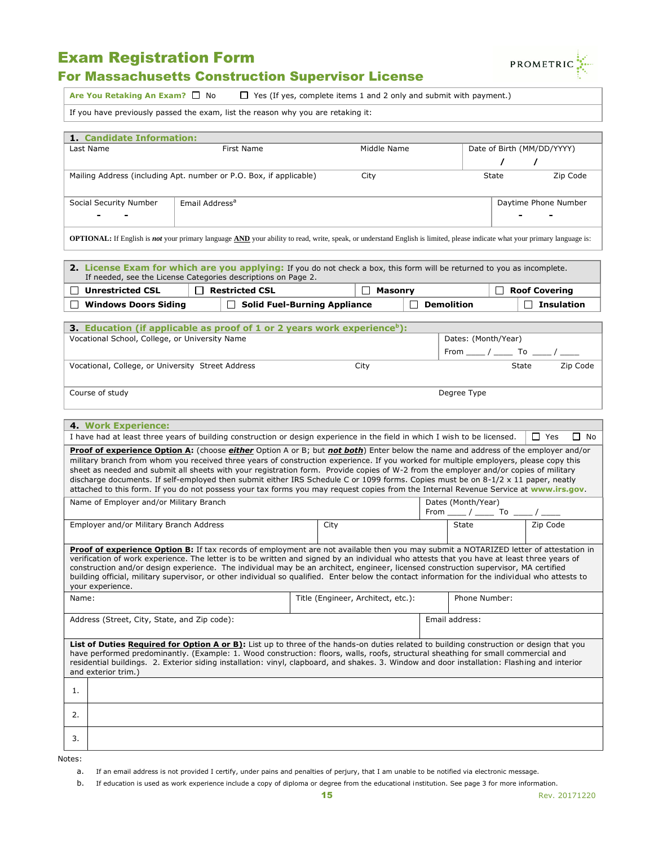# Exam Registration Form



# For Massachusetts Construction Supervisor License

Are You Retaking An Exam? □ No □ Yes (If yes, complete items 1 and 2 only and submit with payment.)

If you have previously passed the exam, list the reason why you are retaking it:

| 1 Candidate Information:                                                                                                                                                                                                                                                                                                                                                                                                                                                                                                                                                                                                                                                                        |                                                                                                                                                                            |                                     |    |                                                                                                                                                           |            |                                                                |
|-------------------------------------------------------------------------------------------------------------------------------------------------------------------------------------------------------------------------------------------------------------------------------------------------------------------------------------------------------------------------------------------------------------------------------------------------------------------------------------------------------------------------------------------------------------------------------------------------------------------------------------------------------------------------------------------------|----------------------------------------------------------------------------------------------------------------------------------------------------------------------------|-------------------------------------|----|-----------------------------------------------------------------------------------------------------------------------------------------------------------|------------|----------------------------------------------------------------|
| Last Name                                                                                                                                                                                                                                                                                                                                                                                                                                                                                                                                                                                                                                                                                       | First Name                                                                                                                                                                 | Middle Name                         |    |                                                                                                                                                           |            | Date of Birth (MM/DD/YYYY)                                     |
|                                                                                                                                                                                                                                                                                                                                                                                                                                                                                                                                                                                                                                                                                                 |                                                                                                                                                                            |                                     |    |                                                                                                                                                           | $\sqrt{2}$ | $\prime$                                                       |
|                                                                                                                                                                                                                                                                                                                                                                                                                                                                                                                                                                                                                                                                                                 | Zip Code<br>Mailing Address (including Apt. number or P.O. Box, if applicable)<br><b>State</b><br>City                                                                     |                                     |    |                                                                                                                                                           |            |                                                                |
| Social Security Number                                                                                                                                                                                                                                                                                                                                                                                                                                                                                                                                                                                                                                                                          | Email Address <sup>a</sup>                                                                                                                                                 |                                     |    |                                                                                                                                                           |            | Daytime Phone Number                                           |
|                                                                                                                                                                                                                                                                                                                                                                                                                                                                                                                                                                                                                                                                                                 |                                                                                                                                                                            |                                     |    |                                                                                                                                                           |            |                                                                |
|                                                                                                                                                                                                                                                                                                                                                                                                                                                                                                                                                                                                                                                                                                 | OPTIONAL: If English is not your primary language AND your ability to read, write, speak, or understand English is limited, please indicate what your primary language is: |                                     |    |                                                                                                                                                           |            |                                                                |
|                                                                                                                                                                                                                                                                                                                                                                                                                                                                                                                                                                                                                                                                                                 | 2. License Exam for which are you applying: If you do not check a box, this form will be returned to you as incomplete.                                                    |                                     |    |                                                                                                                                                           |            |                                                                |
|                                                                                                                                                                                                                                                                                                                                                                                                                                                                                                                                                                                                                                                                                                 | If needed, see the License Categories descriptions on Page 2.                                                                                                              |                                     |    |                                                                                                                                                           |            |                                                                |
| □ Unrestricted CSL                                                                                                                                                                                                                                                                                                                                                                                                                                                                                                                                                                                                                                                                              | $\Box$ Restricted CSL                                                                                                                                                      | $\Box$ Masonry                      |    |                                                                                                                                                           |            | $\Box$ Roof Covering                                           |
| <b>Windows Doors Siding</b><br>$\Box$                                                                                                                                                                                                                                                                                                                                                                                                                                                                                                                                                                                                                                                           |                                                                                                                                                                            | $\Box$ Solid Fuel-Burning Appliance | П. | <b>Demolition</b>                                                                                                                                         |            | $\Box$ Insulation                                              |
|                                                                                                                                                                                                                                                                                                                                                                                                                                                                                                                                                                                                                                                                                                 | <b>3. Education (if applicable as proof of 1 or 2 years work experience</b> b):                                                                                            |                                     |    |                                                                                                                                                           |            |                                                                |
| Vocational School, College, or University Name                                                                                                                                                                                                                                                                                                                                                                                                                                                                                                                                                                                                                                                  |                                                                                                                                                                            |                                     |    | Dates: (Month/Year)                                                                                                                                       |            |                                                                |
|                                                                                                                                                                                                                                                                                                                                                                                                                                                                                                                                                                                                                                                                                                 |                                                                                                                                                                            |                                     |    |                                                                                                                                                           |            |                                                                |
| Vocational, College, or University Street Address                                                                                                                                                                                                                                                                                                                                                                                                                                                                                                                                                                                                                                               |                                                                                                                                                                            | City                                |    |                                                                                                                                                           |            | From ___ / _______ To _____ / _____<br>State $\qquad$ Zip Code |
| Course of study                                                                                                                                                                                                                                                                                                                                                                                                                                                                                                                                                                                                                                                                                 |                                                                                                                                                                            |                                     |    | Degree Type                                                                                                                                               |            |                                                                |
|                                                                                                                                                                                                                                                                                                                                                                                                                                                                                                                                                                                                                                                                                                 |                                                                                                                                                                            |                                     |    |                                                                                                                                                           |            |                                                                |
| <b>4</b> Work Experience:                                                                                                                                                                                                                                                                                                                                                                                                                                                                                                                                                                                                                                                                       |                                                                                                                                                                            |                                     |    |                                                                                                                                                           |            |                                                                |
|                                                                                                                                                                                                                                                                                                                                                                                                                                                                                                                                                                                                                                                                                                 | I have had at least three years of building construction or design experience in the field in which I wish to be licensed.                                                 |                                     |    |                                                                                                                                                           |            | $\Box$ Yes<br>$\Box$ No                                        |
| Proof of experience Option A: (choose either Option A or B; but not both) Enter below the name and address of the employer and/or<br>military branch from whom you received three years of construction experience. If you worked for multiple employers, please copy this<br>sheet as needed and submit all sheets with your registration form. Provide copies of W-2 from the employer and/or copies of military<br>discharge documents. If self-employed then submit either IRS Schedule C or 1099 forms. Copies must be on 8-1/2 x 11 paper, neatly<br>attached to this form. If you do not possess your tax forms you may request copies from the Internal Revenue Service at www.irs.gov. |                                                                                                                                                                            |                                     |    |                                                                                                                                                           |            |                                                                |
| Name of Employer and/or Military Branch                                                                                                                                                                                                                                                                                                                                                                                                                                                                                                                                                                                                                                                         |                                                                                                                                                                            |                                     |    | Dates (Month/Year)                                                                                                                                        |            |                                                                |
| Employer and/or Military Branch Address                                                                                                                                                                                                                                                                                                                                                                                                                                                                                                                                                                                                                                                         |                                                                                                                                                                            | City                                |    | $\begin{array}{c c c c} \hline \text{From} & / \text{---} & \text{To} & \text{---} / \text{---} \\ \hline & \text{State} & & \text{Zip Code} \end{array}$ |            |                                                                |
| Proof of experience Option B: If tax records of employment are not available then you may submit a NOTARIZED letter of attestation in<br>verification of work experience. The letter is to be written and signed by an individual who attests that you have at least three years of<br>construction and/or design experience. The individual may be an architect, engineer, licensed construction supervisor, MA certified<br>building official, military supervisor, or other individual so qualified. Enter below the contact information for the individual who attests to<br>your experience.                                                                                               |                                                                                                                                                                            |                                     |    |                                                                                                                                                           |            |                                                                |
| Name:                                                                                                                                                                                                                                                                                                                                                                                                                                                                                                                                                                                                                                                                                           |                                                                                                                                                                            | Title (Engineer, Architect, etc.):  |    | Phone Number:                                                                                                                                             |            |                                                                |
| Address (Street, City, State, and Zip code):                                                                                                                                                                                                                                                                                                                                                                                                                                                                                                                                                                                                                                                    |                                                                                                                                                                            |                                     |    | Email address:                                                                                                                                            |            |                                                                |
| List of Duties Required for Option A or B): List up to three of the hands-on duties related to building construction or design that you<br>have performed predominantly. (Example: 1. Wood construction: floors, walls, roofs, structural sheathing for small commercial and<br>residential buildings. 2. Exterior siding installation: vinyl, clapboard, and shakes. 3. Window and door installation: Flashing and interior<br>and exterior trim.)                                                                                                                                                                                                                                             |                                                                                                                                                                            |                                     |    |                                                                                                                                                           |            |                                                                |
| 1.                                                                                                                                                                                                                                                                                                                                                                                                                                                                                                                                                                                                                                                                                              |                                                                                                                                                                            |                                     |    |                                                                                                                                                           |            |                                                                |
| 2.                                                                                                                                                                                                                                                                                                                                                                                                                                                                                                                                                                                                                                                                                              |                                                                                                                                                                            |                                     |    |                                                                                                                                                           |            |                                                                |
| 3.                                                                                                                                                                                                                                                                                                                                                                                                                                                                                                                                                                                                                                                                                              |                                                                                                                                                                            |                                     |    |                                                                                                                                                           |            |                                                                |

Notes:

a. If an email address is not provided I certify, under pains and penalties of perjury, that I am unable to be notified via electronic message.

b. If education is used as work experience include a copy of diploma or degree from the educational institution. See page 3 for more information.